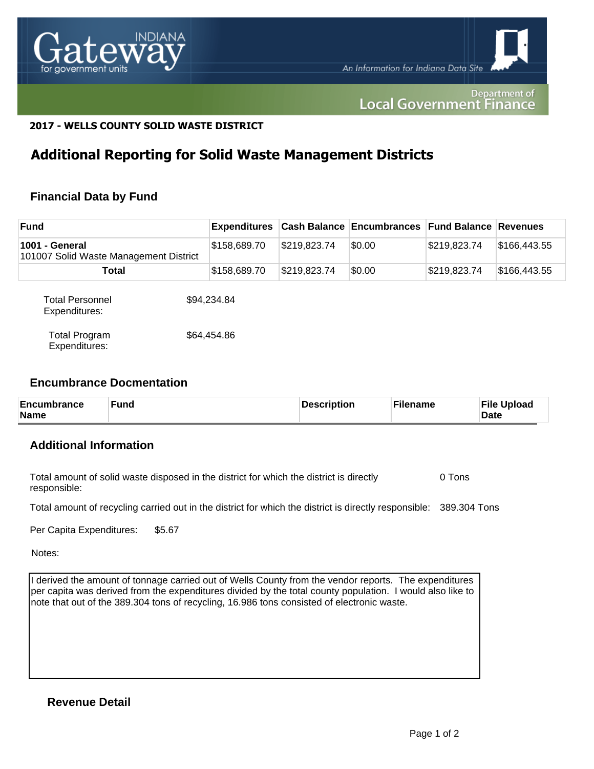

#### Department of **Local Government Finance**

#### **2017 - WELLS COUNTY SOLID WASTE DISTRICT**

## **Additional Reporting for Solid Waste Management Districts**

## **Financial Data by Fund**

| <b>Fund</b>                                              |  | <b>Expenditures</b> |              | <b>Cash Balance Encumbrances</b> | <b>Fund Balance Revenues</b> |              |
|----------------------------------------------------------|--|---------------------|--------------|----------------------------------|------------------------------|--------------|
| 1001 - General<br>101007 Solid Waste Management District |  | \$158,689.70        | \$219,823.74 | \$0.00                           | \$219,823.74                 | \$166,443.55 |
| Total                                                    |  | \$158,689.70        | \$219,823.74 | \$0.00                           | \$219,823.74                 | \$166,443.55 |
| <b>Total Personnel</b><br>Expenditures:                  |  | \$94,234.84         |              |                                  |                              |              |
| <b>Total Program</b><br>Expenditures:                    |  | \$64,454.86         |              |                                  |                              |              |

#### **Encumbrance Docmentation**

| <b>Encumbrance</b><br><b>Name</b> | <b>Fund</b> | Description | ั <sup>с</sup> ilename | <b>File Upload</b><br><b>Date</b> |
|-----------------------------------|-------------|-------------|------------------------|-----------------------------------|
|-----------------------------------|-------------|-------------|------------------------|-----------------------------------|

### **Additional Information**

Total amount of solid waste disposed in the district for which the district is directly responsible: 0 Tons

Total amount of recycling carried out in the district for which the district is directly responsible: 389.304 Tons

Per Capita Expenditures: \$5.67

Notes:

I derived the amount of tonnage carried out of Wells County from the vendor reports. The expenditures per capita was derived from the expenditures divided by the total county population. I would also like to note that out of the 389.304 tons of recycling, 16.986 tons consisted of electronic waste.

## **Revenue Detail**